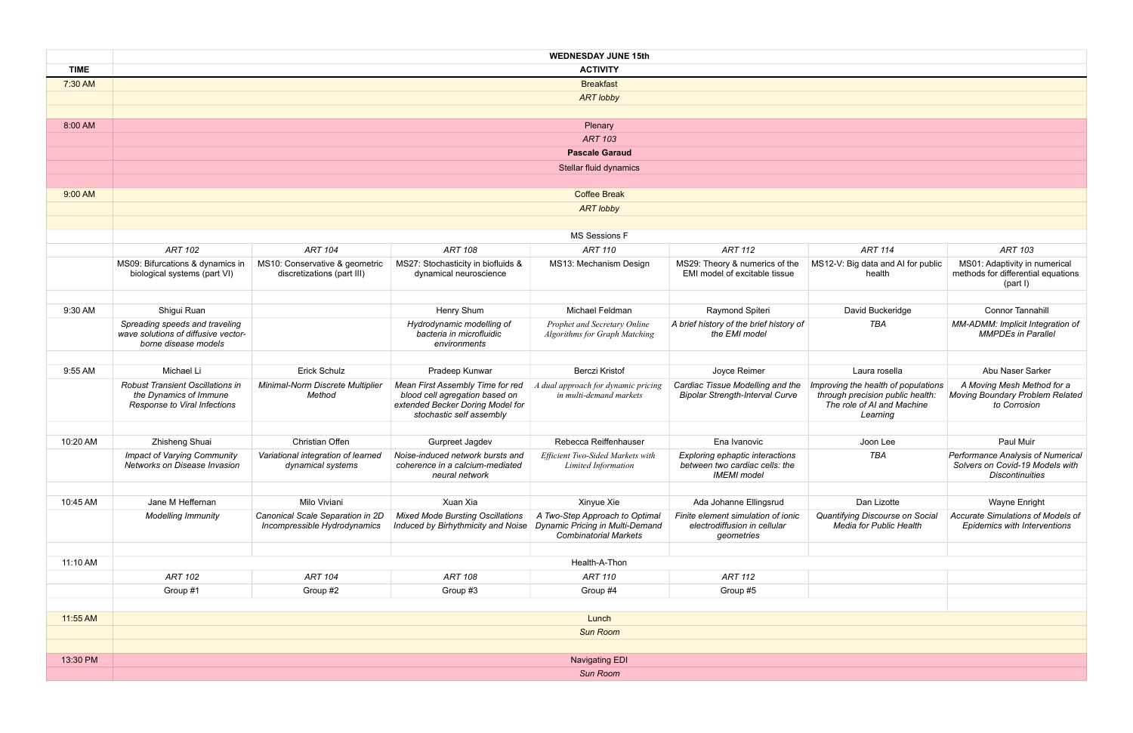|             | <b>WEDNESDAY JUNE 15th</b>                                                                        |                                                                  |                                                                                                                                    |                                                                      |                                                                                         |                                                                                                                   |                                                                                                |  |  |  |
|-------------|---------------------------------------------------------------------------------------------------|------------------------------------------------------------------|------------------------------------------------------------------------------------------------------------------------------------|----------------------------------------------------------------------|-----------------------------------------------------------------------------------------|-------------------------------------------------------------------------------------------------------------------|------------------------------------------------------------------------------------------------|--|--|--|
| <b>TIME</b> | <b>ACTIVITY</b>                                                                                   |                                                                  |                                                                                                                                    |                                                                      |                                                                                         |                                                                                                                   |                                                                                                |  |  |  |
| 7:30 AM     | <b>Breakfast</b>                                                                                  |                                                                  |                                                                                                                                    |                                                                      |                                                                                         |                                                                                                                   |                                                                                                |  |  |  |
|             | <b>ART lobby</b>                                                                                  |                                                                  |                                                                                                                                    |                                                                      |                                                                                         |                                                                                                                   |                                                                                                |  |  |  |
|             |                                                                                                   |                                                                  |                                                                                                                                    |                                                                      |                                                                                         |                                                                                                                   |                                                                                                |  |  |  |
| 8:00 AM     |                                                                                                   |                                                                  |                                                                                                                                    | Plenary                                                              |                                                                                         |                                                                                                                   |                                                                                                |  |  |  |
|             | <b>ART 103</b>                                                                                    |                                                                  |                                                                                                                                    |                                                                      |                                                                                         |                                                                                                                   |                                                                                                |  |  |  |
|             |                                                                                                   |                                                                  |                                                                                                                                    | <b>Pascale Garaud</b>                                                |                                                                                         |                                                                                                                   |                                                                                                |  |  |  |
|             |                                                                                                   | Stellar fluid dynamics                                           |                                                                                                                                    |                                                                      |                                                                                         |                                                                                                                   |                                                                                                |  |  |  |
|             |                                                                                                   |                                                                  |                                                                                                                                    |                                                                      |                                                                                         |                                                                                                                   |                                                                                                |  |  |  |
| 9:00 AM     | <b>Coffee Break</b>                                                                               |                                                                  |                                                                                                                                    |                                                                      |                                                                                         |                                                                                                                   |                                                                                                |  |  |  |
|             | <b>ART lobby</b>                                                                                  |                                                                  |                                                                                                                                    |                                                                      |                                                                                         |                                                                                                                   |                                                                                                |  |  |  |
|             |                                                                                                   |                                                                  |                                                                                                                                    |                                                                      |                                                                                         |                                                                                                                   |                                                                                                |  |  |  |
|             |                                                                                                   |                                                                  |                                                                                                                                    | <b>MS Sessions F</b>                                                 |                                                                                         |                                                                                                                   |                                                                                                |  |  |  |
|             | <b>ART 102</b>                                                                                    | <b>ART 104</b>                                                   | <b>ART 108</b>                                                                                                                     | <b>ART 110</b>                                                       | <b>ART 112</b>                                                                          | <b>ART 114</b>                                                                                                    | <b>ART 103</b>                                                                                 |  |  |  |
|             | MS09: Bifurcations & dynamics in<br>biological systems (part VI)                                  | MS10: Conservative & geometric<br>discretizations (part III)     | MS27: Stochasticity in biofluids &<br>dynamical neuroscience                                                                       | MS13: Mechanism Design                                               | MS29: Theory & numerics of the<br>EMI model of excitable tissue                         | MS12-V: Big data and AI for public<br>health                                                                      | MS01: Adaptivity in numerical<br>methods for differential equations<br>(part I)                |  |  |  |
|             |                                                                                                   |                                                                  |                                                                                                                                    |                                                                      |                                                                                         |                                                                                                                   |                                                                                                |  |  |  |
| 9:30 AM     | Shigui Ruan                                                                                       |                                                                  | Henry Shum                                                                                                                         | Michael Feldman                                                      | Raymond Spiteri                                                                         | David Buckeridge                                                                                                  | <b>Connor Tannahill</b>                                                                        |  |  |  |
|             | Spreading speeds and traveling<br>wave solutions of diffusive vector-<br>borne disease models     |                                                                  | Hydrodynamic modelling of<br>bacteria in microfluidic<br>environments                                                              | Prophet and Secretary Online<br><b>Algorithms for Graph Matching</b> | A brief history of the brief history of<br>the EMI model                                | <b>TBA</b>                                                                                                        | MM-ADMM: Implicit Integration of<br><b>MMPDEs in Parallel</b>                                  |  |  |  |
|             |                                                                                                   |                                                                  |                                                                                                                                    |                                                                      |                                                                                         |                                                                                                                   |                                                                                                |  |  |  |
| 9:55 AM     | Michael Li                                                                                        | Erick Schulz                                                     | Pradeep Kunwar                                                                                                                     | <b>Berczi Kristof</b>                                                | Joyce Reimer                                                                            | Laura rosella                                                                                                     | Abu Naser Sarker                                                                               |  |  |  |
|             | <b>Robust Transient Oscillations in</b><br>the Dynamics of Immune<br>Response to Viral Infections | Minimal-Norm Discrete Multiplier<br>Method                       | Mean First Assembly Time for red<br>blood cell agregation based on<br>extended Becker Doring Model for<br>stochastic self assembly | A dual approach for dynamic pricing<br>in multi-demand markets       | Cardiac Tissue Modelling and the<br><b>Bipolar Strength-Interval Curve</b>              | Improving the health of populations<br>through precision public health:<br>The role of AI and Machine<br>Learning | A Moving Mesh Method for a<br>Moving Boundary Problem Related<br>to Corrosion                  |  |  |  |
|             |                                                                                                   | Christian Offen                                                  |                                                                                                                                    | Rebecca Reiffenhauser                                                |                                                                                         |                                                                                                                   | Paul Muir                                                                                      |  |  |  |
| 10:20 AM    | Zhisheng Shuai                                                                                    |                                                                  | Gurpreet Jagdev<br>Noise-induced network bursts and                                                                                | Efficient Two-Sided Markets with                                     | Ena Ivanovic                                                                            | Joon Lee<br><b>TBA</b>                                                                                            |                                                                                                |  |  |  |
|             | <b>Impact of Varying Community</b><br>Networks on Disease Invasion                                | Variational integration of learned<br>dynamical systems          | coherence in a calcium-mediated<br>neural network                                                                                  | Limited Information                                                  | Exploring ephaptic interactions<br>between two cardiac cells: the<br><b>IMEMI</b> model |                                                                                                                   | Performance Analysis of Numerical<br>Solvers on Covid-19 Models with<br><b>Discontinuities</b> |  |  |  |
|             |                                                                                                   |                                                                  |                                                                                                                                    |                                                                      |                                                                                         |                                                                                                                   |                                                                                                |  |  |  |
| 10:45 AM    | Jane M Heffernan                                                                                  | Milo Viviani                                                     | Xuan Xia                                                                                                                           | Xinyue Xie                                                           | Ada Johanne Ellingsrud                                                                  | Dan Lizotte                                                                                                       | Wayne Enright                                                                                  |  |  |  |
|             | <b>Modelling Immunity</b>                                                                         | Canonical Scale Separation in 2D<br>Incompressible Hydrodynamics | <b>Mixed Mode Bursting Oscillations</b><br>Induced by Birhythmicity and Noise   Dynamic Pricing in Multi-Demand                    | A Two-Step Approach to Optimal<br><b>Combinatorial Markets</b>       | Finite element simulation of ionic<br>electrodiffusion in cellular<br>geometries        | Quantifying Discourse on Social<br>Media for Public Health                                                        | Accurate Simulations of Models of<br><b>Epidemics with Interventions</b>                       |  |  |  |
|             |                                                                                                   |                                                                  |                                                                                                                                    |                                                                      |                                                                                         |                                                                                                                   |                                                                                                |  |  |  |
| 11:10 AM    |                                                                                                   |                                                                  |                                                                                                                                    | Health-A-Thon                                                        |                                                                                         |                                                                                                                   |                                                                                                |  |  |  |
|             | <b>ART 102</b>                                                                                    | <b>ART 104</b>                                                   | <b>ART 108</b>                                                                                                                     | <b>ART 110</b>                                                       | <b>ART 112</b>                                                                          |                                                                                                                   |                                                                                                |  |  |  |
|             | Group #1                                                                                          | Group #2                                                         | Group #3                                                                                                                           | Group #4                                                             | Group #5                                                                                |                                                                                                                   |                                                                                                |  |  |  |
|             |                                                                                                   |                                                                  |                                                                                                                                    |                                                                      |                                                                                         |                                                                                                                   |                                                                                                |  |  |  |
| 11:55 AM    | Lunch                                                                                             |                                                                  |                                                                                                                                    |                                                                      |                                                                                         |                                                                                                                   |                                                                                                |  |  |  |
|             | <b>Sun Room</b>                                                                                   |                                                                  |                                                                                                                                    |                                                                      |                                                                                         |                                                                                                                   |                                                                                                |  |  |  |
|             |                                                                                                   |                                                                  |                                                                                                                                    |                                                                      |                                                                                         |                                                                                                                   |                                                                                                |  |  |  |
| 13:30 PM    | <b>Navigating EDI</b>                                                                             |                                                                  |                                                                                                                                    |                                                                      |                                                                                         |                                                                                                                   |                                                                                                |  |  |  |
|             | Sun Room                                                                                          |                                                                  |                                                                                                                                    |                                                                      |                                                                                         |                                                                                                                   |                                                                                                |  |  |  |